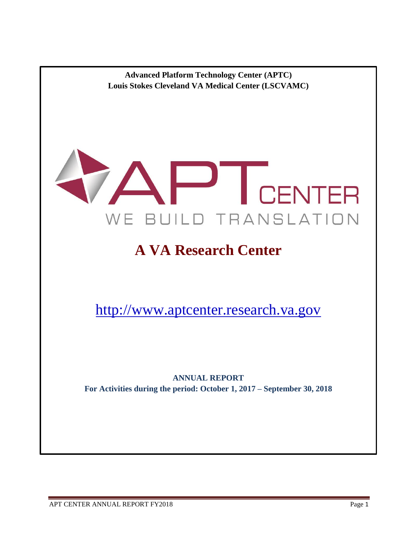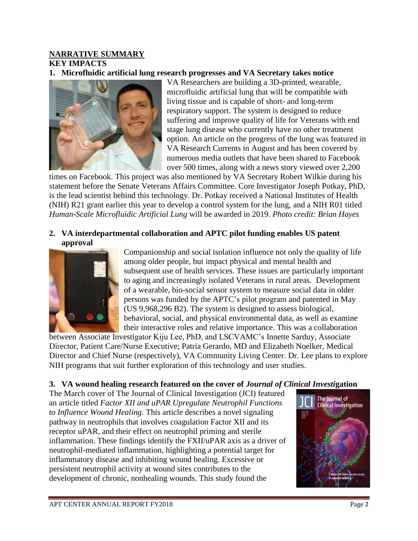# **NARRATIVE SUMMARY KEY IMPACTS**

### **1. Microfluidic artificial lung research progresses and VA Secretary takes notice**



VA Researchers are building a 3D-printed, wearable, microfluidic artificial lung that will be compatible with living tissue and is capable of short- and long-term respiratory support. The system is designed to reduce suffering and improve quality of life for Veterans with end stage lung disease who currently have no other treatment option. An article on the progress of the lung was featured in VA Research Currents in August and has been covered by numerous media outlets that have been shared to Facebook over 500 times, along with a news story viewed over 2,200

times on Facebook. This project was also mentioned by VA Secretary Robert Wilkie during his statement before the Senate Veterans Affairs Committee. Core Investigator Joseph Potkay, PhD, is the lead scientist behind this technology. Dr. Potkay received a National Institutes of Health (NIH) R21 grant earlier this year to develop a control system for the lung, and a NIH R01 titled *Human-Scale Microfluidic Artificial Lung* will be awarded in 2019. *Photo credit: Brian Hayes*

#### **2. VA interdepartmental collaboration and APTC pilot funding enables US patent approval**



Companionship and social isolation influence not only the quality of life among older people, but impact physical and mental health and subsequent use of health services. These issues are particularly important to aging and increasingly isolated Veterans in rural areas. Development of a wearable, bio-social sensor system to measure social data in older persons was funded by the APTC's pilot program and patented in May (US 9,968,296 B2). The system is designed to assess biological, behavioral, social, and physical environmental data, as well as examine their interactive roles and relative importance. This was a collaboration

between Associate Investigator Kiju Lee, PhD, and LSCVAMC's Innette Sarduy, Associate Director, Patient Care/Nurse Executive; Patria Gerardo, MD and Elizabeth Noelker, Medical Director and Chief Nurse (respectively), VA Community Living Center. Dr. Lee plans to explore NIH programs that suit further exploration of this technology and user studies.

### **3. VA wound healing research featured on the cover of** *Journal of Clinical Investi***gation**

The March cover of The Journal of Clinical Investigation (JCI) featured an article titled *Factor XII and uPAR Upregulate Neutrophil Functions to Influence Wound Healing*. This article describes a novel signaling pathway in neutrophils that involves coagulation Factor XII and its receptor uPAR, and their effect on neutrophil priming and sterile inflammation. These findings identify the FXII/uPAR axis as a driver of neutrophil-mediated inflammation, highlighting a potential target for inflammatory disease and inhibiting wound healing. Excessive or persistent neutrophil activity at wound sites contributes to the development of chronic, nonhealing wounds. This study found the

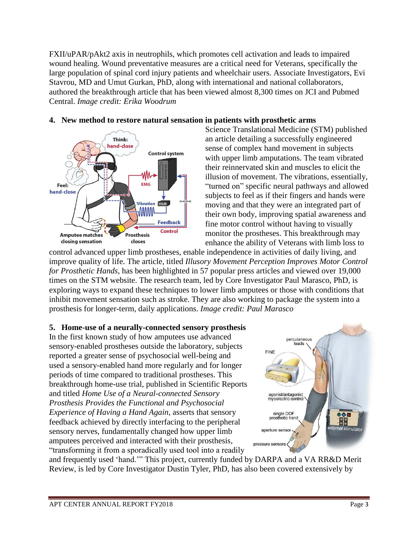FXII/uPAR/pAkt2 axis in neutrophils, which promotes cell activation and leads to impaired wound healing. Wound preventative measures are a critical need for Veterans, specifically the large population of spinal cord injury patients and wheelchair users. Associate Investigators, Evi Stavrou, MD and Umut Gurkan, PhD, along with international and national collaborators, authored the breakthrough article that has been viewed almost 8,300 times on JCI and Pubmed Central. *Image credit: Erika Woodrum*



### **4. New method to restore natural sensation in patients with prosthetic arms**

Science Translational Medicine (STM) published an article detailing a successfully engineered sense of complex hand movement in subjects with upper limb amputations. The team vibrated their reinnervated skin and muscles to elicit the illusion of movement. The vibrations, essentially, "turned on" specific neural pathways and allowed subjects to feel as if their fingers and hands were moving and that they were an integrated part of their own body, improving spatial awareness and fine motor control without having to visually monitor the prostheses. This breakthrough may enhance the ability of Veterans with limb loss to

control advanced upper limb prostheses, enable independence in activities of daily living, and improve quality of life. The article, titled *Illusory Movement Perception Improves Motor Control for Prosthetic Hands*, has been highlighted in 57 popular press articles and viewed over 19,000 times on the STM website. The research team, led by Core Investigator Paul Marasco, PhD, is exploring ways to expand these techniques to lower limb amputees or those with conditions that inhibit movement sensation such as stroke. They are also working to package the system into a prosthesis for longer-term, daily applications. *Image credit: Paul Marasco*

### **5. Home-use of a neurally-connected sensory prosthesis**

In the first known study of how amputees use advanced sensory-enabled prostheses outside the laboratory, subjects reported a greater sense of psychosocial well-being and used a sensory-enabled hand more regularly and for longer periods of time compared to traditional prostheses. This breakthrough home-use trial, published in Scientific Reports and titled *Home Use of a Neural-connected Sensory Prosthesis Provides the Functional and Psychosocial Experience of Having a Hand Again*, asserts that sensory feedback achieved by directly interfacing to the peripheral sensory nerves, fundamentally changed how upper limb amputees perceived and interacted with their prosthesis, "transforming it from a sporadically used tool into a readily



and frequently used 'hand.'" This project, currently funded by DARPA and a VA RR&D Merit Review, is led by Core Investigator Dustin Tyler, PhD, has also been covered extensively by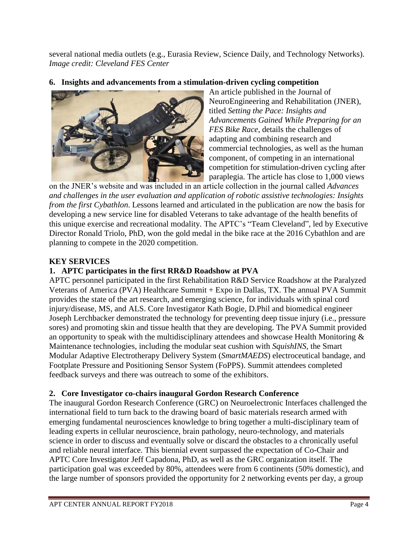several national media outlets (e.g., Eurasia Review, Science Daily, and Technology Networks). *Image credit: Cleveland FES Center*

## **6. Insights and advancements from a stimulation-driven cycling competition**



An article published in the Journal of NeuroEngineering and Rehabilitation (JNER), titled *Setting the Pace: Insights and Advancements Gained While Preparing for an FES Bike Race*, details the challenges of adapting and combining research and commercial technologies, as well as the human component, of competing in an international competition for stimulation-driven cycling after paraplegia. The article has close to 1,000 views

on the JNER's website and was included in an article collection in the journal called *Advances and challenges in the user evaluation and application of robotic assistive technologies: Insights from the first Cybathlon*. Lessons learned and articulated in the publication are now the basis for developing a new service line for disabled Veterans to take advantage of the health benefits of this unique exercise and recreational modality. The APTC's "Team Cleveland", led by Executive Director Ronald Triolo, PhD, won the gold medal in the bike race at the 2016 Cybathlon and are planning to compete in the 2020 competition.

### **KEY SERVICES**

### **1. APTC participates in the first RR&D Roadshow at PVA**

APTC personnel participated in the first Rehabilitation R&D Service Roadshow at the Paralyzed Veterans of America (PVA) Healthcare Summit + Expo in Dallas, TX. The annual PVA Summit provides the state of the art research, and emerging science, for individuals with spinal cord injury/disease, MS, and ALS. Core Investigator Kath Bogie, D.Phil and biomedical engineer Joseph Lerchbacker demonstrated the technology for preventing deep tissue injury (i.e., pressure sores) and promoting skin and tissue health that they are developing. The PVA Summit provided an opportunity to speak with the multidisciplinary attendees and showcase Health Monitoring & Maintenance technologies, including the modular seat cushion with *SquishINS*, the Smart Modular Adaptive Electrotherapy Delivery System (*SmartMAEDS*) electroceutical bandage, and Footplate Pressure and Positioning Sensor System (FoPPS). Summit attendees completed feedback surveys and there was outreach to some of the exhibitors.

### **2. Core Investigator co-chairs inaugural Gordon Research Conference**

The inaugural Gordon Research Conference (GRC) on Neuroelectronic Interfaces challenged the international field to turn back to the drawing board of basic materials research armed with emerging fundamental neurosciences knowledge to bring together a multi-disciplinary team of leading experts in cellular neuroscience, brain pathology, neuro-technology, and materials science in order to discuss and eventually solve or discard the obstacles to a chronically useful and reliable neural interface. This biennial event surpassed the expectation of Co-Chair and APTC Core Investigator Jeff Capadona, PhD, as well as the GRC organization itself. The participation goal was exceeded by 80%, attendees were from 6 continents (50% domestic), and the large number of sponsors provided the opportunity for 2 networking events per day, a group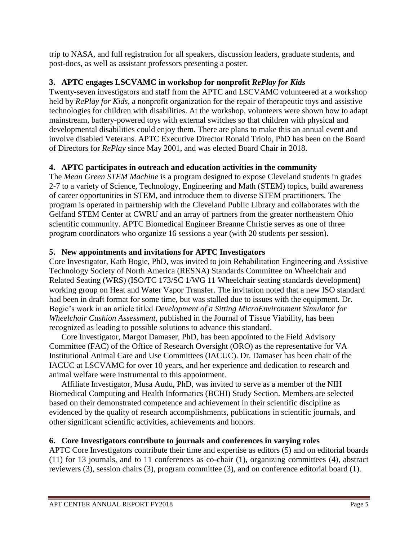trip to NASA, and full registration for all speakers, discussion leaders, graduate students, and post-docs, as well as assistant professors presenting a poster.

# **3. APTC engages LSCVAMC in workshop for nonprofit** *RePlay for Kids*

Twenty-seven investigators and staff from the APTC and LSCVAMC volunteered at a workshop held by *RePlay for Kids*, a nonprofit organization for the repair of therapeutic toys and assistive technologies for children with disabilities. At the workshop, volunteers were shown how to adapt mainstream, battery-powered toys with external switches so that children with physical and developmental disabilities could enjoy them. There are plans to make this an annual event and involve disabled Veterans. APTC Executive Director Ronald Triolo, PhD has been on the Board of Directors for *RePlay* since May 2001, and was elected Board Chair in 2018.

# **4. APTC participates in outreach and education activities in the community**

The *Mean Green STEM Machine* is a program designed to expose Cleveland students in grades 2-7 to a variety of Science, Technology, Engineering and Math (STEM) topics, build awareness of career opportunities in STEM, and introduce them to diverse STEM practitioners. The program is operated in partnership with the Cleveland Public Library and collaborates with the Gelfand STEM Center at CWRU and an array of partners from the greater northeastern Ohio scientific community. APTC Biomedical Engineer Breanne Christie serves as one of three program coordinators who organize 16 sessions a year (with 20 students per session).

# **5. New appointments and invitations for APTC Investigators**

Core Investigator, Kath Bogie, PhD, was invited to join Rehabilitation Engineering and Assistive Technology Society of North America (RESNA) Standards Committee on Wheelchair and Related Seating (WRS) (ISO/TC 173/SC 1/WG 11 Wheelchair seating standards development) working group on Heat and Water Vapor Transfer. The invitation noted that a new ISO standard had been in draft format for some time, but was stalled due to issues with the equipment. Dr. Bogie's work in an article titled *Development of a Sitting MicroEnvironment Simulator for Wheelchair Cushion Assessment*, published in the Journal of Tissue Viability, has been recognized as leading to possible solutions to advance this standard.

Core Investigator, Margot Damaser, PhD, has been appointed to the Field Advisory Committee (FAC) of the Office of Research Oversight (ORO) as the representative for VA Institutional Animal Care and Use Committees (IACUC). Dr. Damaser has been chair of the IACUC at LSCVAMC for over 10 years, and her experience and dedication to research and animal welfare were instrumental to this appointment.

Affiliate Investigator, Musa Audu, PhD, was invited to serve as a member of the NIH Biomedical Computing and Health Informatics (BCHI) Study Section. Members are selected based on their demonstrated competence and achievement in their scientific discipline as evidenced by the quality of research accomplishments, publications in scientific journals, and other significant scientific activities, achievements and honors.

### **6. Core Investigators contribute to journals and conferences in varying roles**

APTC Core Investigators contribute their time and expertise as editors (5) and on editorial boards (11) for 13 journals, and to 11 conferences as co-chair (1), organizing committees (4), abstract reviewers (3), session chairs (3), program committee (3), and on conference editorial board (1).